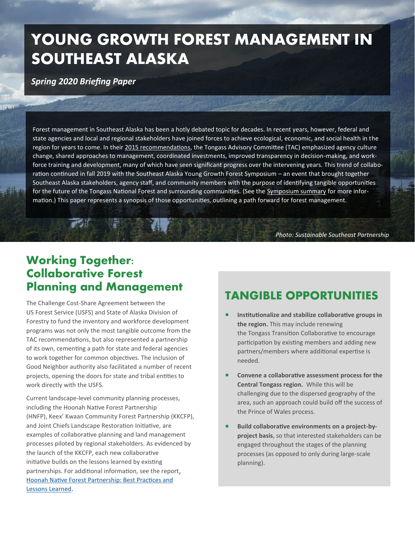# **YOUNG GROWTH FOREST MANAGEMENT IN SOUTHEAST ALASKA**

*Spring 2020 Briefing Paper*

Forest management in Southeast Alaska has been a hotly debated topic for decades. In recent years, however, federal and state agencies and local and regional stakeholders have joined forces to achieve ecological, economic, and social health in the region for years to come. In their [2015 recommendations,](https://s31207.pcdn.co/wp-content/uploads/sites/6/2019/11/TAC-Final-Recommendations.pdf) the Tongass Advisory Committee (TAC) emphasized agency culture change, shared approaches to management, coordinated investments, improved transparency in decision-making, and workforce training and development, many of which have seen significant progress over the intervening years. This trend of collaboration continued in fall 2019 with the Southeast Alaska Young Growth Forest Symposium – an event that brought together Southeast Alaska stakeholders, agency staff, and community members with the purpose of identifying tangible opportunities for the future of the Tongass National Forest and surrounding communities. (See the [Symposium summary f](https://s31207.pcdn.co/wp-content/uploads/sites/6/2020/01/Tongass-Young-Growth-Symposium-Summary-October-2019.pdf)or more information.) This paper represents a synopsis of those opportunities, outlining a path forward for forest management.

*Photo: Sustainable Southeast Partnership*

### **Working Together: Collaborative Forest Planning and Management**

The Challenge Cost-Share Agreement between the US Forest Service (USFS) and State of Alaska Division of Forestry to fund the inventory and workforce development programs was not only the most tangible outcome from the TAC recommendations, but also represented a partnership of its own, cementing a path for state and federal agencies to work together for common objectives. The inclusion of Good Neighbor authority also facilitated a number of recent projects, opening the doors for state and tribal entities to work directly with the USFS.

Current landscape-level community planning processes, including the Hoonah Native Forest Partnership (HNFP), Keex' Kwaan Community Forest Partnership (KKCFP), and Joint Chiefs Landscape Restoration Initiative, are examples of collaborative planning and land management processes piloted by regional stakeholders. As evidenced by the launch of the KKCFP, each new collaborative initiative builds on the lessons learned by existing partnerships. For additional information, see the report[,](https://s31207.pcdn.co/wp-content/uploads/sites/6/2019/11/HNFP-Final-Report-3.pdf)  [Hoonah Native Forest Partnership: Best Practices and](https://s31207.pcdn.co/wp-content/uploads/sites/6/2019/11/HNFP-Final-Report-3.pdf)  [Lessons Learned.](https://s31207.pcdn.co/wp-content/uploads/sites/6/2019/11/HNFP-Final-Report-3.pdf)

#### **TANGIBLE OPPORTUNITIES**

- **Institutionalize and stabilize collaborative groups in the region.** This may include renewing the Tongass Transition Collaborative to encourage participation by existing members and adding new partners/members where additional expertise is needed.
- **Convene a collaborative assessment process for the Central Tongass region.** While this will be challenging due to the dispersed geography of the area, such an approach could build off the success of the Prince of Wales process.
- **Build collaborative environments on a project-byproject basis**, so that interested stakeholders can be engaged throughout the stages of the planning processes (as opposed to only during large-scale planning).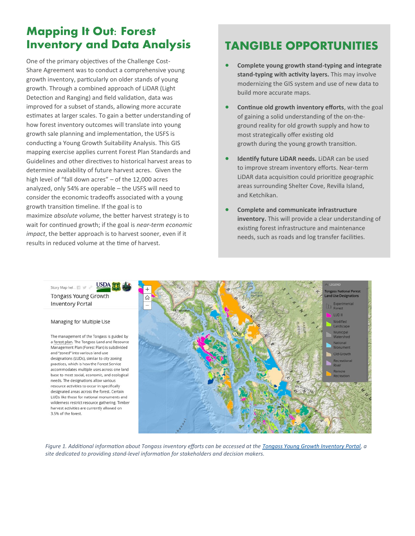### **Mapping It Out: Forest Inventory and Data Analysis**

One of the primary objectives of the Challenge Cost-Share Agreement was to conduct a comprehensive young growth inventory, particularly on older stands of young growth. Through a combined approach of LiDAR (Light Detection and Ranging) and field validation, data was improved for a subset of stands, allowing more accurate estimates at larger scales. To gain a better understanding of how forest inventory outcomes will translate into young growth sale planning and implementation, the USFS is conducting a Young Growth Suitability Analysis. This GIS mapping exercise applies current Forest Plan Standards and Guidelines and other directives to historical harvest areas to determine availability of future harvest acres. Given the high level of "fall down acres" – of the 12,000 acres analyzed, only 54% are operable – the USFS will need to consider the economic tradeoffs associated with a young growth transition timeline. If the goal is to maximize *absolute volume*, the better harvest strategy is to wait for continued growth; if the goal is *near-term economic impact*, the better approach is to harvest sooner, even if it results in reduced volume at the time of harvest.

### **TANGIBLE OPPORTUNITIES**

- **Complete young growth stand-typing and integrate stand-typing with activity layers.** This may involve modernizing the GIS system and use of new data to build more accurate maps.
- **Continue old growth inventory efforts**, with the goal of gaining a solid understanding of the on-theground reality for old growth supply and how to most strategically offer existing old growth during the young growth transition.
- **Identify future LiDAR needs.** LiDAR can be used to improve stream inventory efforts. Near-term LiDAR data acquisition could prioritize geographic areas surrounding Shelter Cove, Revilla Island, and Ketchikan.
- **Complete and communicate infrastructure inventory.** This will provide a clear understanding of existing forest infrastructure and maintenance needs, such as roads and log transfer facilities.



*Figure 1. Additional information about Tongass inventory efforts can be accessed at the [Tongass Young Growth Inventory Portal,](https://www.arcgis.com/apps/MapJournal/index.html?appid=e748ce92139c4100a65ad8b12510d620) a site dedicated to providing stand-level information for stakeholders and decision makers.*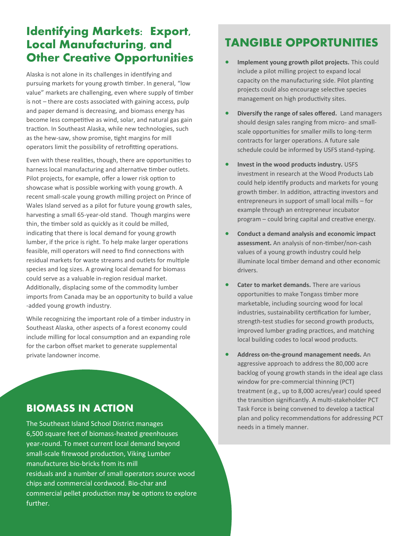### **Identifying Markets: Export, Local Manufacturing, and Other Creative Opportunities**

Alaska is not alone in its challenges in identifying and pursuing markets for young growth timber. In general, "low value" markets are challenging, even where supply of timber is not – there are costs associated with gaining access, pulp and paper demand is decreasing, and biomass energy has become less competitive as wind, solar, and natural gas gain traction. In Southeast Alaska, while new technologies, such as the hew-saw, show promise, tight margins for mill operators limit the possibility of retrofitting operations.

Even with these realities, though, there are opportunities to harness local manufacturing and alternative timber outlets. Pilot projects, for example, offer a lower risk option to showcase what is possible working with young growth. A recent small-scale young growth milling project on Prince of Wales Island served as a pilot for future young growth sales, harvesting a small 65-year-old stand. Though margins were thin, the timber sold as quickly as it could be milled, indicating that there is local demand for young growth lumber, if the price is right. To help make larger operations feasible, mill operators will need to find connections with residual markets for waste streams and outlets for multiple species and log sizes. A growing local demand for biomass could serve as a valuable in-region residual market. Additionally, displacing some of the commodity lumber imports from Canada may be an opportunity to build a value -added young growth industry.

While recognizing the important role of a timber industry in Southeast Alaska, other aspects of a forest economy could include milling for local consumption and an expanding role for the carbon offset market to generate supplemental private landowner income.

#### **BIOMASS IN ACTION**

The Southeast Island School District manages 6,500 square feet of biomass-heated greenhouses year-round. To meet current local demand beyond small-scale firewood production, Viking Lumber manufactures bio-bricks from its mill residuals and a number of small operators source wood chips and commercial cordwood. Bio-char and commercial pellet production may be options to explore further.

### **TANGIBLE OPPORTUNITIES**

- **Implement young growth pilot projects.** This could include a pilot milling project to expand local capacity on the manufacturing side. Pilot planting projects could also encourage selective species management on high productivity sites.
- **Diversify the range of sales offered.** Land managers should design sales ranging from micro- and smallscale opportunities for smaller mills to long-term contracts for larger operations. A future sale schedule could be informed by USFS stand-typing.
- **Invest in the wood products industry.** USFS investment in research at the Wood Products Lab could help identify products and markets for young growth timber. In addition, attracting investors and entrepreneurs in support of small local mills – for example through an entrepreneur incubator program – could bring capital and creative energy.
- **Conduct a demand analysis and economic impact assessment.** An analysis of non-timber/non-cash values of a young growth industry could help illuminate local timber demand and other economic drivers.
- **Cater to market demands.** There are various opportunities to make Tongass timber more marketable, including sourcing wood for local industries, sustainability certification for lumber, strength-test studies for second growth products, improved lumber grading practices, and matching local building codes to local wood products.
- **Address on-the-ground management needs.** An aggressive approach to address the 80,000 acre backlog of young growth stands in the ideal age class window for pre-commercial thinning (PCT) treatment (e.g., up to 8,000 acres/year) could speed the transition significantly. A multi-stakeholder PCT Task Force is being convened to develop a tactical plan and policy recommendations for addressing PCT needs in a timely manner.